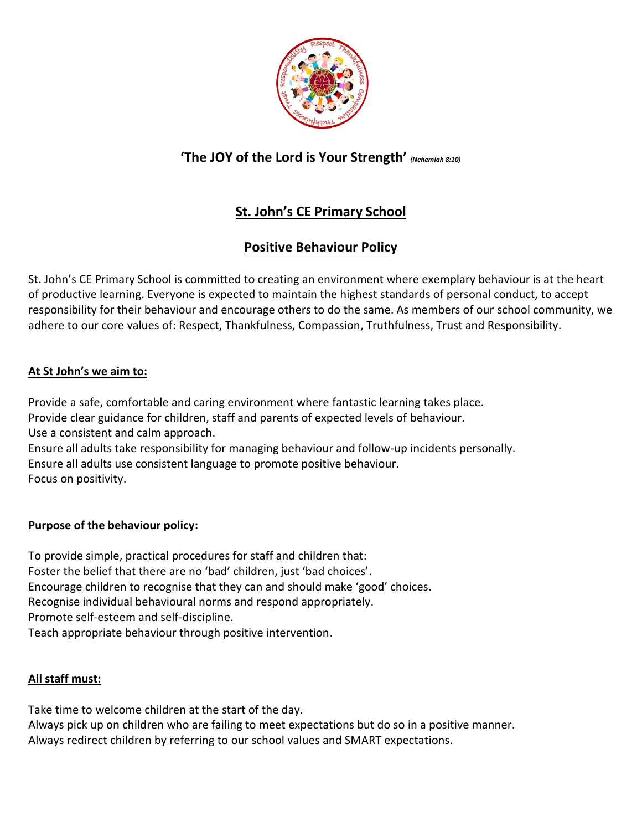

## **'The JOY of the Lord is Your Strength'** *(Nehemiah 8:10)*

# **St. John's CE Primary School**

# **Positive Behaviour Policy**

St. John's CE Primary School is committed to creating an environment where exemplary behaviour is at the heart of productive learning. Everyone is expected to maintain the highest standards of personal conduct, to accept responsibility for their behaviour and encourage others to do the same. As members of our school community, we adhere to our core values of: Respect, Thankfulness, Compassion, Truthfulness, Trust and Responsibility.

## **At St John's we aim to:**

Provide a safe, comfortable and caring environment where fantastic learning takes place. Provide clear guidance for children, staff and parents of expected levels of behaviour. Use a consistent and calm approach. Ensure all adults take responsibility for managing behaviour and follow-up incidents personally. Ensure all adults use consistent language to promote positive behaviour.

Focus on positivity.

## **Purpose of the behaviour policy:**

To provide simple, practical procedures for staff and children that: Foster the belief that there are no 'bad' children, just 'bad choices'. Encourage children to recognise that they can and should make 'good' choices. Recognise individual behavioural norms and respond appropriately. Promote self-esteem and self-discipline. Teach appropriate behaviour through positive intervention.

## **All staff must:**

Take time to welcome children at the start of the day.

Always pick up on children who are failing to meet expectations but do so in a positive manner. Always redirect children by referring to our school values and SMART expectations.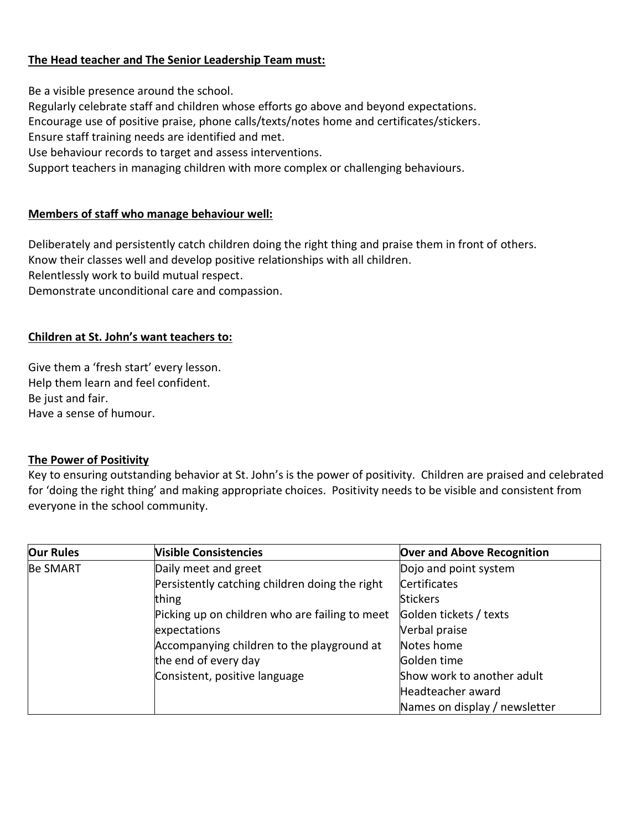### **The Head teacher and The Senior Leadership Team must:**

Be a visible presence around the school.

Regularly celebrate staff and children whose efforts go above and beyond expectations.

Encourage use of positive praise, phone calls/texts/notes home and certificates/stickers.

Ensure staff training needs are identified and met.

Use behaviour records to target and assess interventions.

Support teachers in managing children with more complex or challenging behaviours.

#### **Members of staff who manage behaviour well:**

Deliberately and persistently catch children doing the right thing and praise them in front of others. Know their classes well and develop positive relationships with all children. Relentlessly work to build mutual respect. Demonstrate unconditional care and compassion.

#### **Children at St. John's want teachers to:**

Give them a 'fresh start' every lesson. Help them learn and feel confident. Be just and fair. Have a sense of humour.

#### **The Power of Positivity**

Key to ensuring outstanding behavior at St. John's is the power of positivity. Children are praised and celebrated for 'doing the right thing' and making appropriate choices. Positivity needs to be visible and consistent from everyone in the school community.

| <b>Our Rules</b> | <b>Visible Consistencies</b>                   | <b>Over and Above Recognition</b> |
|------------------|------------------------------------------------|-----------------------------------|
| <b>Be SMART</b>  | Daily meet and greet                           | Dojo and point system             |
|                  | Persistently catching children doing the right | <b>Certificates</b>               |
|                  | thing                                          | <b>Stickers</b>                   |
|                  | Picking up on children who are failing to meet | Golden tickets / texts            |
|                  | expectations                                   | Verbal praise                     |
|                  | Accompanying children to the playground at     | Notes home                        |
|                  | the end of every day                           | Golden time                       |
|                  | Consistent, positive language                  | Show work to another adult        |
|                  |                                                | Headteacher award                 |
|                  |                                                | Names on display / newsletter     |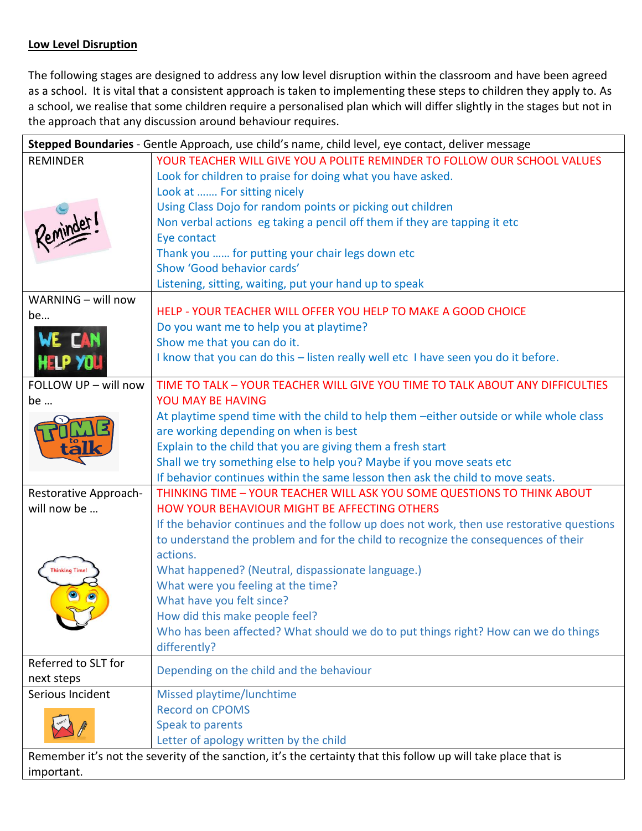## **Low Level Disruption**

The following stages are designed to address any low level disruption within the classroom and have been agreed as a school. It is vital that a consistent approach is taken to implementing these steps to children they apply to. As a school, we realise that some children require a personalised plan which will differ slightly in the stages but not in the approach that any discussion around behaviour requires.

|                       | Stepped Boundaries - Gentle Approach, use child's name, child level, eye contact, deliver message              |  |
|-----------------------|----------------------------------------------------------------------------------------------------------------|--|
| <b>REMINDER</b>       | YOUR TEACHER WILL GIVE YOU A POLITE REMINDER TO FOLLOW OUR SCHOOL VALUES                                       |  |
|                       | Look for children to praise for doing what you have asked.                                                     |  |
|                       | Look at  For sitting nicely                                                                                    |  |
|                       | Using Class Dojo for random points or picking out children                                                     |  |
|                       | Non verbal actions eg taking a pencil off them if they are tapping it etc                                      |  |
|                       | Eye contact                                                                                                    |  |
|                       | Thank you  for putting your chair legs down etc                                                                |  |
|                       | Show 'Good behavior cards'                                                                                     |  |
|                       | Listening, sitting, waiting, put your hand up to speak                                                         |  |
| WARNING - will now    |                                                                                                                |  |
| be                    | HELP - YOUR TEACHER WILL OFFER YOU HELP TO MAKE A GOOD CHOICE                                                  |  |
|                       | Do you want me to help you at playtime?                                                                        |  |
| WE CAN                | Show me that you can do it.                                                                                    |  |
| <b>HELP YOU</b>       | I know that you can do this - listen really well etc I have seen you do it before.                             |  |
|                       |                                                                                                                |  |
| FOLLOW UP - will now  | TIME TO TALK - YOUR TEACHER WILL GIVE YOU TIME TO TALK ABOUT ANY DIFFICULTIES                                  |  |
| be                    | YOU MAY BE HAVING                                                                                              |  |
|                       | At playtime spend time with the child to help them -either outside or while whole class                        |  |
|                       | are working depending on when is best                                                                          |  |
|                       | Explain to the child that you are giving them a fresh start                                                    |  |
|                       | Shall we try something else to help you? Maybe if you move seats etc                                           |  |
|                       | If behavior continues within the same lesson then ask the child to move seats.                                 |  |
| Restorative Approach- | THINKING TIME - YOUR TEACHER WILL ASK YOU SOME QUESTIONS TO THINK ABOUT                                        |  |
| will now be           | HOW YOUR BEHAVIOUR MIGHT BE AFFECTING OTHERS                                                                   |  |
|                       | If the behavior continues and the follow up does not work, then use restorative questions                      |  |
|                       | to understand the problem and for the child to recognize the consequences of their                             |  |
|                       | actions.                                                                                                       |  |
| <b>Thinking Time</b>  | What happened? (Neutral, dispassionate language.)                                                              |  |
|                       | What were you feeling at the time?                                                                             |  |
|                       | What have you felt since?                                                                                      |  |
|                       | How did this make people feel?                                                                                 |  |
|                       | Who has been affected? What should we do to put things right? How can we do things                             |  |
|                       | differently?                                                                                                   |  |
| Referred to SLT for   |                                                                                                                |  |
| next steps            | Depending on the child and the behaviour                                                                       |  |
| Serious Incident      | Missed playtime/lunchtime                                                                                      |  |
|                       | <b>Record on CPOMS</b>                                                                                         |  |
|                       | Speak to parents                                                                                               |  |
|                       | Letter of apology written by the child                                                                         |  |
|                       | Remember it's not the severity of the sanction, it's the certainty that this follow up will take place that is |  |
| important.            |                                                                                                                |  |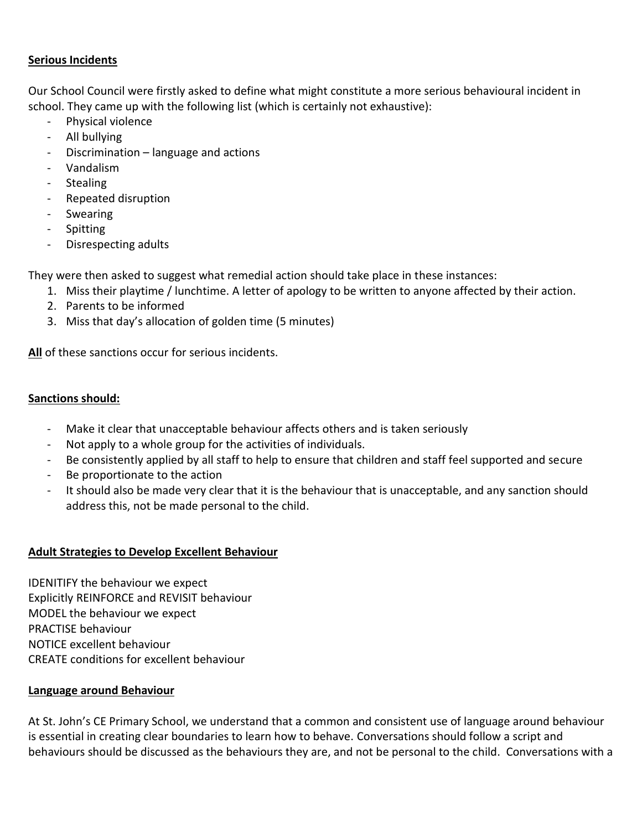#### **Serious Incidents**

Our School Council were firstly asked to define what might constitute a more serious behavioural incident in school. They came up with the following list (which is certainly not exhaustive):

- Physical violence
- All bullying
- Discrimination language and actions
- Vandalism
- Stealing
- Repeated disruption
- Swearing
- Spitting
- Disrespecting adults

They were then asked to suggest what remedial action should take place in these instances:

- 1. Miss their playtime / lunchtime. A letter of apology to be written to anyone affected by their action.
- 2. Parents to be informed
- 3. Miss that day's allocation of golden time (5 minutes)

**All** of these sanctions occur for serious incidents.

## **Sanctions should:**

- Make it clear that unacceptable behaviour affects others and is taken seriously
- Not apply to a whole group for the activities of individuals.
- Be consistently applied by all staff to help to ensure that children and staff feel supported and secure
- Be proportionate to the action
- It should also be made very clear that it is the behaviour that is unacceptable, and any sanction should address this, not be made personal to the child.

## **Adult Strategies to Develop Excellent Behaviour**

IDENITIFY the behaviour we expect Explicitly REINFORCE and REVISIT behaviour MODEL the behaviour we expect PRACTISE behaviour NOTICE excellent behaviour CREATE conditions for excellent behaviour

## **Language around Behaviour**

At St. John's CE Primary School, we understand that a common and consistent use of language around behaviour is essential in creating clear boundaries to learn how to behave. Conversations should follow a script and behaviours should be discussed as the behaviours they are, and not be personal to the child. Conversations with a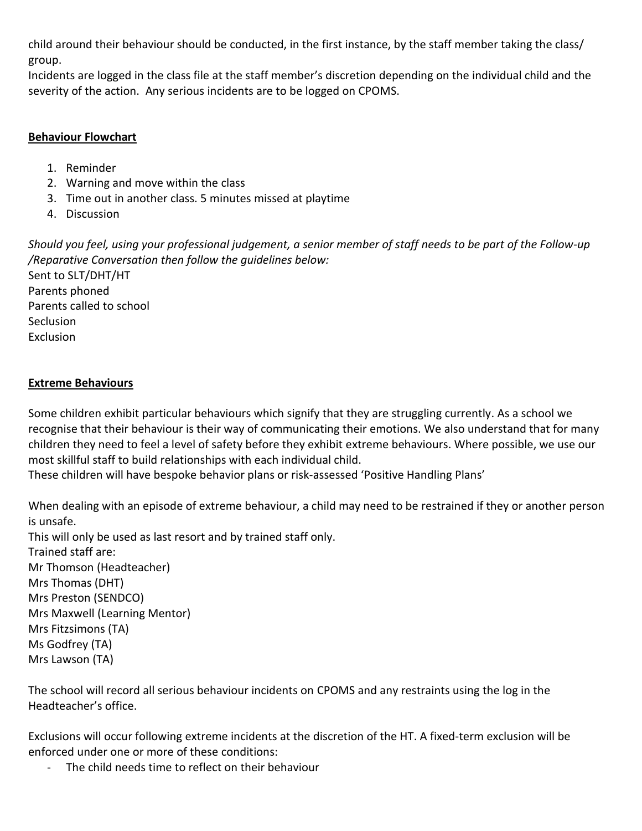child around their behaviour should be conducted, in the first instance, by the staff member taking the class/ group.

Incidents are logged in the class file at the staff member's discretion depending on the individual child and the severity of the action. Any serious incidents are to be logged on CPOMS.

#### **Behaviour Flowchart**

- 1. Reminder
- 2. Warning and move within the class
- 3. Time out in another class. 5 minutes missed at playtime
- 4. Discussion

*Should you feel, using your professional judgement, a senior member of staff needs to be part of the Follow-up /Reparative Conversation then follow the guidelines below:* Sent to SLT/DHT/HT Parents phoned Parents called to school **Seclusion** Exclusion

## **Extreme Behaviours**

Some children exhibit particular behaviours which signify that they are struggling currently. As a school we recognise that their behaviour is their way of communicating their emotions. We also understand that for many children they need to feel a level of safety before they exhibit extreme behaviours. Where possible, we use our most skillful staff to build relationships with each individual child.

These children will have bespoke behavior plans or risk-assessed 'Positive Handling Plans'

When dealing with an episode of extreme behaviour, a child may need to be restrained if they or another person is unsafe.

This will only be used as last resort and by trained staff only. Trained staff are: Mr Thomson (Headteacher) Mrs Thomas (DHT) Mrs Preston (SENDCO) Mrs Maxwell (Learning Mentor) Mrs Fitzsimons (TA) Ms Godfrey (TA) Mrs Lawson (TA)

The school will record all serious behaviour incidents on CPOMS and any restraints using the log in the Headteacher's office.

Exclusions will occur following extreme incidents at the discretion of the HT. A fixed-term exclusion will be enforced under one or more of these conditions:

- The child needs time to reflect on their behaviour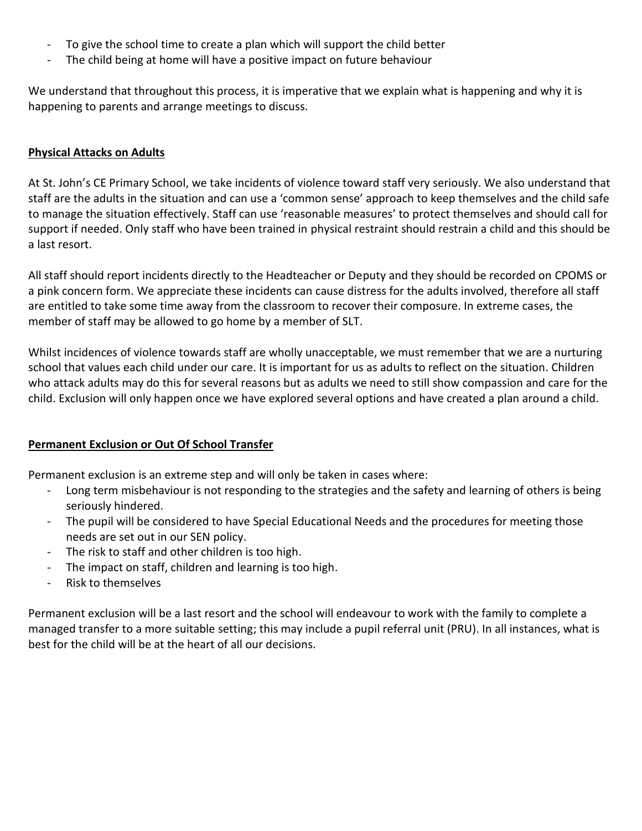- To give the school time to create a plan which will support the child better
- The child being at home will have a positive impact on future behaviour

We understand that throughout this process, it is imperative that we explain what is happening and why it is happening to parents and arrange meetings to discuss.

#### **Physical Attacks on Adults**

At St. John's CE Primary School, we take incidents of violence toward staff very seriously. We also understand that staff are the adults in the situation and can use a 'common sense' approach to keep themselves and the child safe to manage the situation effectively. Staff can use 'reasonable measures' to protect themselves and should call for support if needed. Only staff who have been trained in physical restraint should restrain a child and this should be a last resort.

All staff should report incidents directly to the Headteacher or Deputy and they should be recorded on CPOMS or a pink concern form. We appreciate these incidents can cause distress for the adults involved, therefore all staff are entitled to take some time away from the classroom to recover their composure. In extreme cases, the member of staff may be allowed to go home by a member of SLT.

Whilst incidences of violence towards staff are wholly unacceptable, we must remember that we are a nurturing school that values each child under our care. It is important for us as adults to reflect on the situation. Children who attack adults may do this for several reasons but as adults we need to still show compassion and care for the child. Exclusion will only happen once we have explored several options and have created a plan around a child.

#### **Permanent Exclusion or Out Of School Transfer**

Permanent exclusion is an extreme step and will only be taken in cases where:

- Long term misbehaviour is not responding to the strategies and the safety and learning of others is being seriously hindered.
- The pupil will be considered to have Special Educational Needs and the procedures for meeting those needs are set out in our SEN policy.
- The risk to staff and other children is too high.
- The impact on staff, children and learning is too high.
- Risk to themselves

Permanent exclusion will be a last resort and the school will endeavour to work with the family to complete a managed transfer to a more suitable setting; this may include a pupil referral unit (PRU). In all instances, what is best for the child will be at the heart of all our decisions.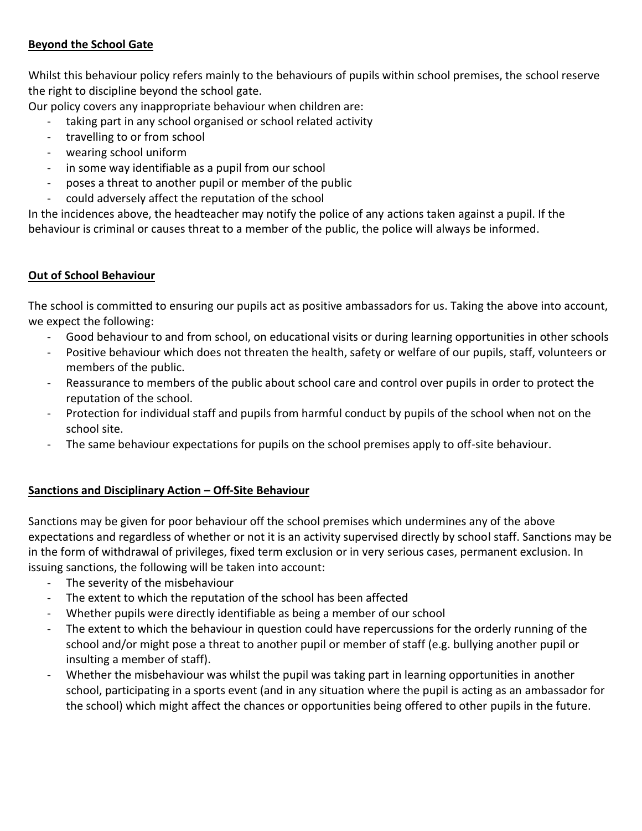### **Beyond the School Gate**

Whilst this behaviour policy refers mainly to the behaviours of pupils within school premises, the school reserve the right to discipline beyond the school gate.

Our policy covers any inappropriate behaviour when children are:

- taking part in any school organised or school related activity
- travelling to or from school
- wearing school uniform
- in some way identifiable as a pupil from our school
- poses a threat to another pupil or member of the public
- could adversely affect the reputation of the school

In the incidences above, the headteacher may notify the police of any actions taken against a pupil. If the behaviour is criminal or causes threat to a member of the public, the police will always be informed.

### **Out of School Behaviour**

The school is committed to ensuring our pupils act as positive ambassadors for us. Taking the above into account, we expect the following:

- Good behaviour to and from school, on educational visits or during learning opportunities in other schools
- Positive behaviour which does not threaten the health, safety or welfare of our pupils, staff, volunteers or members of the public.
- Reassurance to members of the public about school care and control over pupils in order to protect the reputation of the school.
- Protection for individual staff and pupils from harmful conduct by pupils of the school when not on the school site.
- The same behaviour expectations for pupils on the school premises apply to off-site behaviour.

## **Sanctions and Disciplinary Action – Off-Site Behaviour**

Sanctions may be given for poor behaviour off the school premises which undermines any of the above expectations and regardless of whether or not it is an activity supervised directly by school staff. Sanctions may be in the form of withdrawal of privileges, fixed term exclusion or in very serious cases, permanent exclusion. In issuing sanctions, the following will be taken into account:

- The severity of the misbehaviour
- The extent to which the reputation of the school has been affected
- Whether pupils were directly identifiable as being a member of our school
- The extent to which the behaviour in question could have repercussions for the orderly running of the school and/or might pose a threat to another pupil or member of staff (e.g. bullying another pupil or insulting a member of staff).
- Whether the misbehaviour was whilst the pupil was taking part in learning opportunities in another school, participating in a sports event (and in any situation where the pupil is acting as an ambassador for the school) which might affect the chances or opportunities being offered to other pupils in the future.